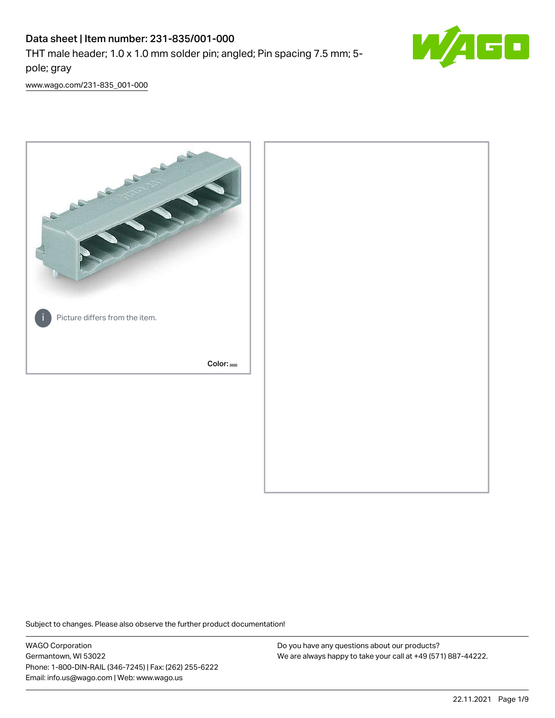# Data sheet | Item number: 231-835/001-000

THT male header; 1.0 x 1.0 mm solder pin; angled; Pin spacing 7.5 mm; 5 pole; gray



[www.wago.com/231-835\\_001-000](http://www.wago.com/231-835_001-000)



Subject to changes. Please also observe the further product documentation!

WAGO Corporation Germantown, WI 53022 Phone: 1-800-DIN-RAIL (346-7245) | Fax: (262) 255-6222 Email: info.us@wago.com | Web: www.wago.us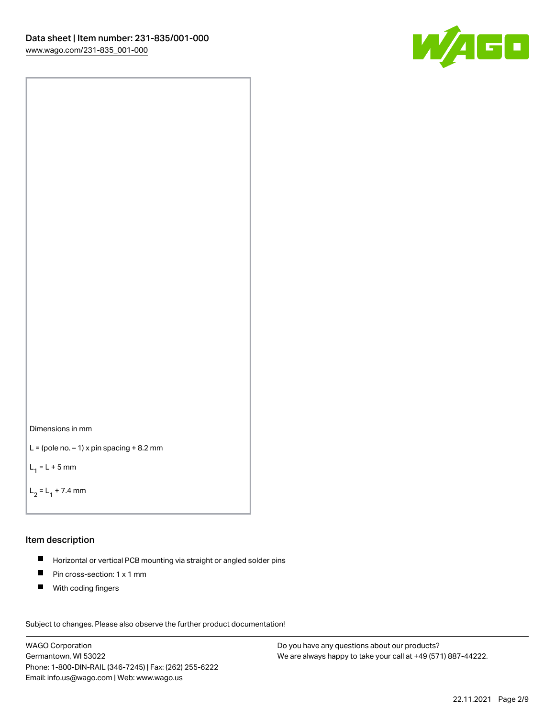



```
L = (pole no. -1) x pin spacing +8.2 mm
```
 $L_1 = L + 5$  mm

```
L_2 = L_1 + 7.4 mm
```
## Item description

- Horizontal or vertical PCB mounting via straight or angled solder pins  $\blacksquare$
- $\blacksquare$ Pin cross-section: 1 x 1 mm
- $\blacksquare$ With coding fingers

Subject to changes. Please also observe the further product documentation! Data

WAGO Corporation Germantown, WI 53022 Phone: 1-800-DIN-RAIL (346-7245) | Fax: (262) 255-6222 Email: info.us@wago.com | Web: www.wago.us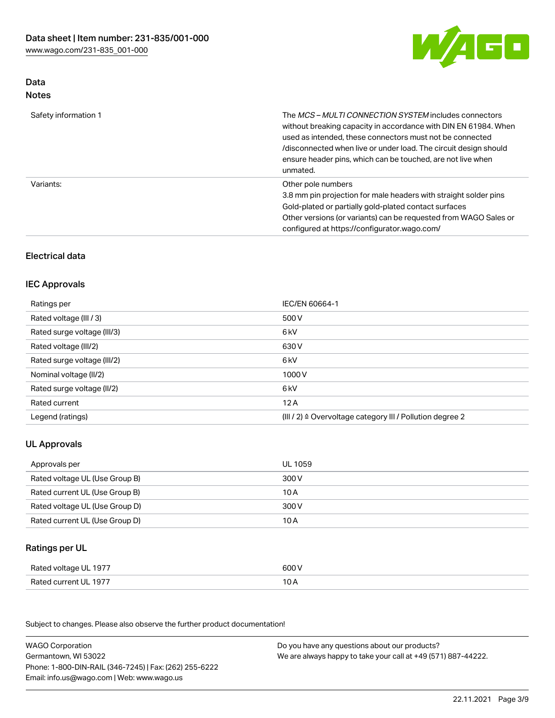

# Data Notes

| Safety information 1 | The <i>MCS – MULTI CONNECTION SYSTEM</i> includes connectors<br>without breaking capacity in accordance with DIN EN 61984. When<br>used as intended, these connectors must not be connected<br>/disconnected when live or under load. The circuit design should<br>ensure header pins, which can be touched, are not live when<br>unmated. |
|----------------------|--------------------------------------------------------------------------------------------------------------------------------------------------------------------------------------------------------------------------------------------------------------------------------------------------------------------------------------------|
| Variants:            | Other pole numbers<br>3.8 mm pin projection for male headers with straight solder pins<br>Gold-plated or partially gold-plated contact surfaces<br>Other versions (or variants) can be requested from WAGO Sales or<br>configured at https://configurator.wago.com/                                                                        |

# Electrical data

# IEC Approvals

| Ratings per                 | IEC/EN 60664-1                                                        |
|-----------------------------|-----------------------------------------------------------------------|
| Rated voltage (III / 3)     | 500 V                                                                 |
| Rated surge voltage (III/3) | 6 <sub>k</sub> V                                                      |
| Rated voltage (III/2)       | 630 V                                                                 |
| Rated surge voltage (III/2) | 6 kV                                                                  |
| Nominal voltage (II/2)      | 1000V                                                                 |
| Rated surge voltage (II/2)  | 6 kV                                                                  |
| Rated current               | 12A                                                                   |
| Legend (ratings)            | $(III / 2)$ $\triangle$ Overvoltage category III / Pollution degree 2 |

# UL Approvals

| Approvals per                  | UL 1059 |
|--------------------------------|---------|
| Rated voltage UL (Use Group B) | 300 V   |
| Rated current UL (Use Group B) | 10 A    |
| Rated voltage UL (Use Group D) | 300 V   |
| Rated current UL (Use Group D) | 10 A    |

## Ratings per UL

| Rated voltage UL 1977 | 600 V |
|-----------------------|-------|
| Rated current UL 1977 |       |

| <b>WAGO Corporation</b>                                | Do you have any questions about our products?                 |
|--------------------------------------------------------|---------------------------------------------------------------|
| Germantown, WI 53022                                   | We are always happy to take your call at +49 (571) 887-44222. |
| Phone: 1-800-DIN-RAIL (346-7245)   Fax: (262) 255-6222 |                                                               |
| Email: info.us@wago.com   Web: www.wago.us             |                                                               |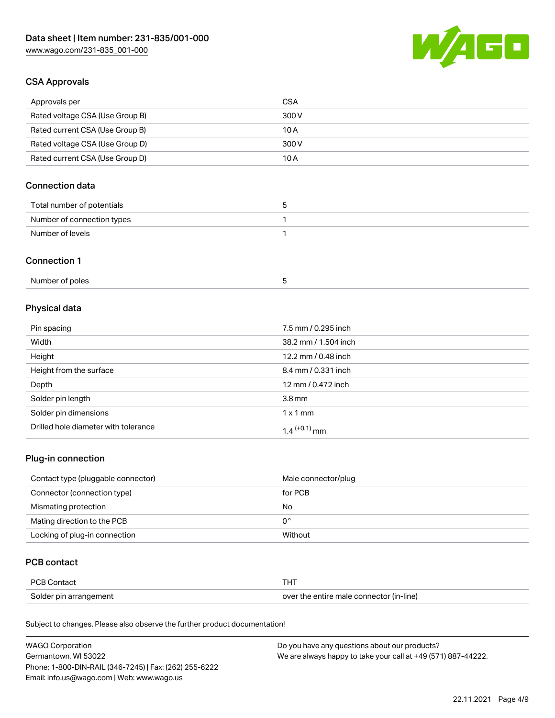

# CSA Approvals

| Approvals per                   | CSA   |
|---------------------------------|-------|
| Rated voltage CSA (Use Group B) | 300 V |
| Rated current CSA (Use Group B) | 10 A  |
| Rated voltage CSA (Use Group D) | 300 V |
| Rated current CSA (Use Group D) | 10 A  |

# Connection data

| Total number of potentials |  |
|----------------------------|--|
| Number of connection types |  |
| Number of levels           |  |

#### Connection 1

| Number of poles |  |
|-----------------|--|
|-----------------|--|

# Physical data

| Pin spacing                          | 7.5 mm / 0.295 inch  |
|--------------------------------------|----------------------|
| Width                                | 38.2 mm / 1.504 inch |
| Height                               | 12.2 mm / 0.48 inch  |
| Height from the surface              | 8.4 mm / 0.331 inch  |
| Depth                                | 12 mm / 0.472 inch   |
| Solder pin length                    | 3.8 <sub>mm</sub>    |
| Solder pin dimensions                | $1 \times 1$ mm      |
| Drilled hole diameter with tolerance | $1.4$ $(+0.1)$ mm    |

# Plug-in connection

| Contact type (pluggable connector) | Male connector/plug |
|------------------------------------|---------------------|
| Connector (connection type)        | for PCB             |
| Mismating protection               | No                  |
| Mating direction to the PCB        | 0°                  |
| Locking of plug-in connection      | Without             |

# PCB contact

| PCB Contact            |                                          |
|------------------------|------------------------------------------|
| Solder pin arrangement | over the entire male connector (in-line) |

| <b>WAGO Corporation</b>                                | Do you have any questions about our products?                 |
|--------------------------------------------------------|---------------------------------------------------------------|
| Germantown, WI 53022                                   | We are always happy to take your call at +49 (571) 887-44222. |
| Phone: 1-800-DIN-RAIL (346-7245)   Fax: (262) 255-6222 |                                                               |
| Email: info.us@wago.com   Web: www.wago.us             |                                                               |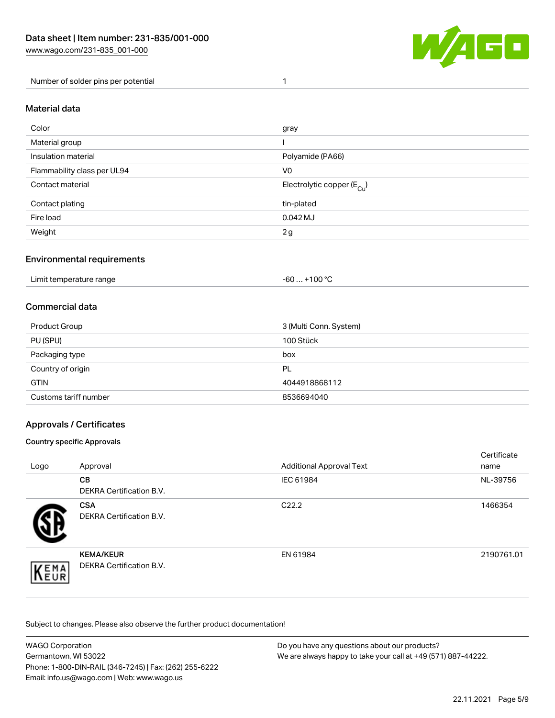

Number of solder pins per potential 1

## Material data

| Color                       | gray                                    |
|-----------------------------|-----------------------------------------|
| Material group              |                                         |
| Insulation material         | Polyamide (PA66)                        |
| Flammability class per UL94 | V <sub>0</sub>                          |
| Contact material            | Electrolytic copper ( $E_{\text{Cu}}$ ) |
| Contact plating             | tin-plated                              |
| Fire load                   | $0.042$ MJ                              |
| Weight                      | 2g                                      |

## Environmental requirements

Limit temperature range  $-60... +100$  °C

## Commercial data

| Product Group         | 3 (Multi Conn. System) |
|-----------------------|------------------------|
| PU (SPU)              | 100 Stück              |
| Packaging type        | box                    |
| Country of origin     | PL                     |
| <b>GTIN</b>           | 4044918868112          |
| Customs tariff number | 8536694040             |

## Approvals / Certificates

#### Country specific Approvals

| Logo               | Approval                                     | <b>Additional Approval Text</b> | Certificate<br>name |
|--------------------|----------------------------------------------|---------------------------------|---------------------|
|                    | <b>CB</b><br><b>DEKRA Certification B.V.</b> | IEC 61984                       | NL-39756            |
|                    | <b>CSA</b><br>DEKRA Certification B.V.       | C <sub>22.2</sub>               | 1466354             |
| EMA<br><b>NEUR</b> | <b>KEMA/KEUR</b><br>DEKRA Certification B.V. | EN 61984                        | 2190761.01          |

| WAGO Corporation                                       | Do you have any questions about our products?                 |
|--------------------------------------------------------|---------------------------------------------------------------|
| Germantown, WI 53022                                   | We are always happy to take your call at +49 (571) 887-44222. |
| Phone: 1-800-DIN-RAIL (346-7245)   Fax: (262) 255-6222 |                                                               |
| Email: info.us@wago.com   Web: www.wago.us             |                                                               |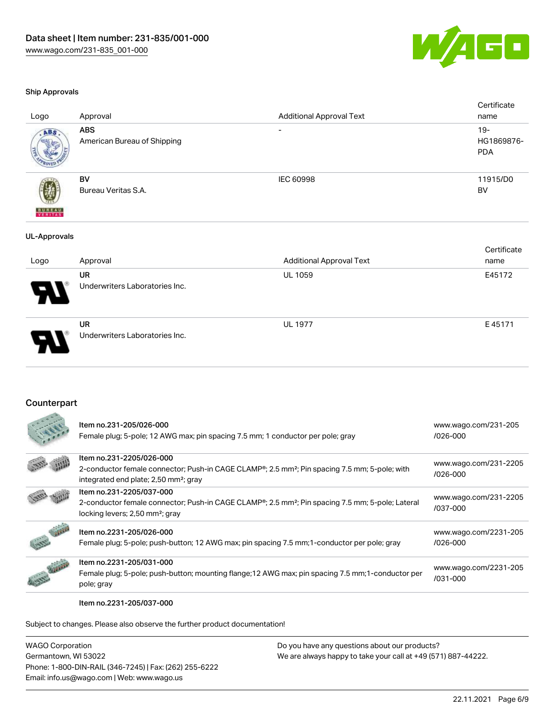

#### Ship Approvals

| Logo                | Approval                                  | <b>Additional Approval Text</b> | Certificate<br>name                |
|---------------------|-------------------------------------------|---------------------------------|------------------------------------|
| ABS.                | <b>ABS</b><br>American Bureau of Shipping | $\overline{\phantom{a}}$        | $19 -$<br>HG1869876-<br><b>PDA</b> |
| <b>BUREAU</b>       | <b>BV</b><br>Bureau Veritas S.A.          | IEC 60998                       | 11915/D0<br><b>BV</b>              |
| <b>UL-Approvals</b> |                                           |                                 |                                    |
| Logo                | Approval                                  | <b>Additional Approval Text</b> | Certificate<br>name                |

| Logo | Approval                                    | Additional Approval Text | name   |
|------|---------------------------------------------|--------------------------|--------|
| R    | <b>UR</b><br>Underwriters Laboratories Inc. | UL 1059                  | E45172 |
| D    | <b>UR</b><br>Underwriters Laboratories Inc. | <b>UL 1977</b>           | E45171 |

## Counterpart

|               | Item no.231-205/026-000<br>Female plug; 5-pole; 12 AWG max; pin spacing 7.5 mm; 1 conductor per pole; gray                                                                                              | www.wago.com/231-205<br>$1026 - 000$  |
|---------------|---------------------------------------------------------------------------------------------------------------------------------------------------------------------------------------------------------|---------------------------------------|
|               | Item no.231-2205/026-000<br>2-conductor female connector; Push-in CAGE CLAMP <sup>®</sup> ; 2.5 mm <sup>2</sup> ; Pin spacing 7.5 mm; 5-pole; with<br>integrated end plate; 2,50 mm <sup>2</sup> ; gray | www.wago.com/231-2205<br>$1026 - 000$ |
|               | Item no.231-2205/037-000<br>2-conductor female connector; Push-in CAGE CLAMP <sup>®</sup> ; 2.5 mm <sup>2</sup> ; Pin spacing 7.5 mm; 5-pole; Lateral<br>locking levers; 2,50 mm <sup>2</sup> ; gray    | www.wago.com/231-2205<br>/037-000     |
|               | Item no.2231-205/026-000<br>Female plug; 5-pole; push-button; 12 AWG max; pin spacing 7.5 mm; 1-conductor per pole; gray                                                                                | www.wago.com/2231-205<br>$1026 - 000$ |
| $\mathcal{L}$ | Item no.2231-205/031-000<br>Female plug; 5-pole; push-button; mounting flange; 12 AWG max; pin spacing 7.5 mm; 1-conductor per<br>pole; gray                                                            | www.wago.com/2231-205<br>$/031 - 000$ |

Item no.2231-205/037-000

Subject to changes. Please also observe the further product documentation!

WAGO Corporation Germantown, WI 53022 Phone: 1-800-DIN-RAIL (346-7245) | Fax: (262) 255-6222 Email: info.us@wago.com | Web: www.wago.us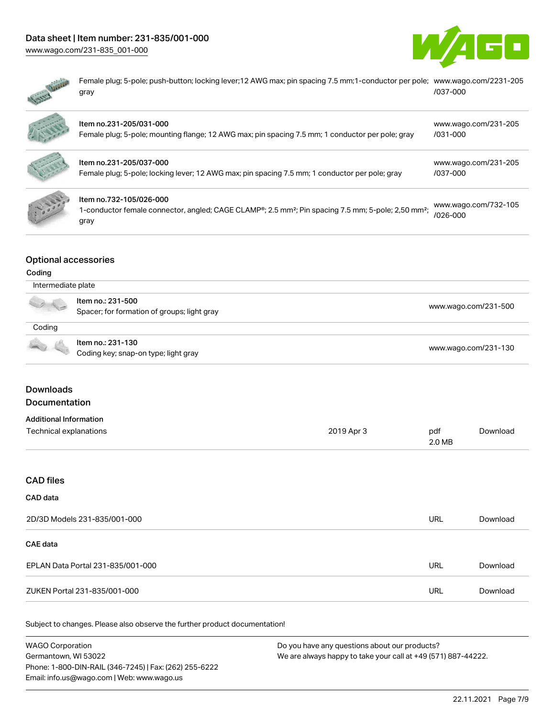# Data sheet | Item number: 231-835/001-000

[www.wago.com/231-835\\_001-000](http://www.wago.com/231-835_001-000)





Female plug; 5-pole; push-button; locking lever;12 AWG max; pin spacing 7.5 mm;1-conductor per pole; [www.wago.com/2231-205](https://www.wago.com/2231-205/037-000) gray [/037-000](https://www.wago.com/2231-205/037-000)

| Item no.231-205/031-000<br>Female plug; 5-pole; mounting flange; 12 AWG max; pin spacing 7.5 mm; 1 conductor per pole; gray                                    | www.wago.com/231-205<br>$/031 - 000$ |
|----------------------------------------------------------------------------------------------------------------------------------------------------------------|--------------------------------------|
| Item no.231-205/037-000<br>Female plug; 5-pole; locking lever; 12 AWG max; pin spacing 7.5 mm; 1 conductor per pole; gray                                      | www.wago.com/231-205<br>/037-000     |
| Item no.732-105/026-000<br>1-conductor female connector, angled; CAGE CLAMP®; 2.5 mm <sup>2</sup> ; Pin spacing 7.5 mm; 5-pole; 2,50 mm <sup>2</sup> ;<br>gray | www.wago.com/732-105<br>$/026 - 000$ |

## Optional accessories

#### Coding

| Intermediate plate |                                                                  |                      |
|--------------------|------------------------------------------------------------------|----------------------|
|                    | Item no.: 231-500<br>Spacer; for formation of groups; light gray | www.wago.com/231-500 |
| Coding             |                                                                  |                      |
|                    | Item no.: 231-130<br>Coding key; snap-on type; light gray        | www.wago.com/231-130 |

# Downloads

Documentation

# Additional Information

| Technical explanations | 2019 Apr 3 | pdf    | Download |
|------------------------|------------|--------|----------|
|                        |            | 2.0 MB |          |

# CAD files

# CAD data

| 2D/3D Models 231-835/001-000      | URL | Download |
|-----------------------------------|-----|----------|
| <b>CAE data</b>                   |     |          |
| EPLAN Data Portal 231-835/001-000 | URL | Download |
| ZUKEN Portal 231-835/001-000      | URL | Download |

| <b>WAGO Corporation</b>                                | Do you have any questions about our products?                 |
|--------------------------------------------------------|---------------------------------------------------------------|
| Germantown, WI 53022                                   | We are always happy to take your call at +49 (571) 887-44222. |
| Phone: 1-800-DIN-RAIL (346-7245)   Fax: (262) 255-6222 |                                                               |
| Email: info.us@wago.com   Web: www.wago.us             |                                                               |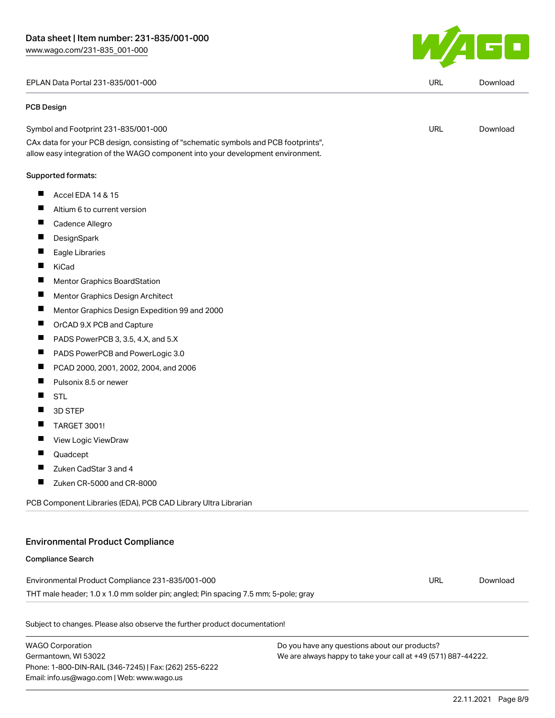EPLAN Data Portal 231-835/001-000 URL [Download](https://www.wago.com/global/d/EPLAN_URLS_231-835_001-000)

#### PCB Design

| Symbol and Footprint 231-835/001-000 | URL | Download |
|--------------------------------------|-----|----------|
|                                      |     |          |

CAx data for your PCB design, consisting of "schematic symbols and PCB footprints", allow easy integration of the WAGO component into your development environment.

#### Supported formats:

- $\blacksquare$ Accel EDA 14 & 15
- $\blacksquare$ Altium 6 to current version
- П Cadence Allegro
- П **DesignSpark**
- П Eagle Libraries
- П KiCad
- $\blacksquare$ Mentor Graphics BoardStation
- $\blacksquare$ Mentor Graphics Design Architect
- Mentor Graphics Design Expedition 99 and 2000  $\blacksquare$
- $\blacksquare$ OrCAD 9.X PCB and Capture
- $\blacksquare$ PADS PowerPCB 3, 3.5, 4.X, and 5.X
- $\blacksquare$ PADS PowerPCB and PowerLogic 3.0
- П PCAD 2000, 2001, 2002, 2004, and 2006
- $\blacksquare$ Pulsonix 8.5 or newer
- $\blacksquare$ STL
- $\blacksquare$ 3D STEP
- $\blacksquare$ TARGET 3001!
- $\blacksquare$ View Logic ViewDraw
- $\blacksquare$ Quadcept
- $\blacksquare$ Zuken CadStar 3 and 4
- $\blacksquare$ Zuken CR-5000 and CR-8000

PCB Component Libraries (EDA), PCB CAD Library Ultra Librarian

#### Environmental Product Compliance

#### Compliance Search

Environmental Product Compliance 231-835/001-000 THT male header; 1.0 x 1.0 mm solder pin; angled; Pin spacing 7.5 mm; 5-pole; gray URL [Download](https://www.wago.com/global/d/ComplianceLinkMediaContainer_231-835_001-000)

Subject to changes. Please also observe the further product documentation!

WAGO Corporation Germantown, WI 53022 Phone: 1-800-DIN-RAIL (346-7245) | Fax: (262) 255-6222 Email: info.us@wago.com | Web: www.wago.us